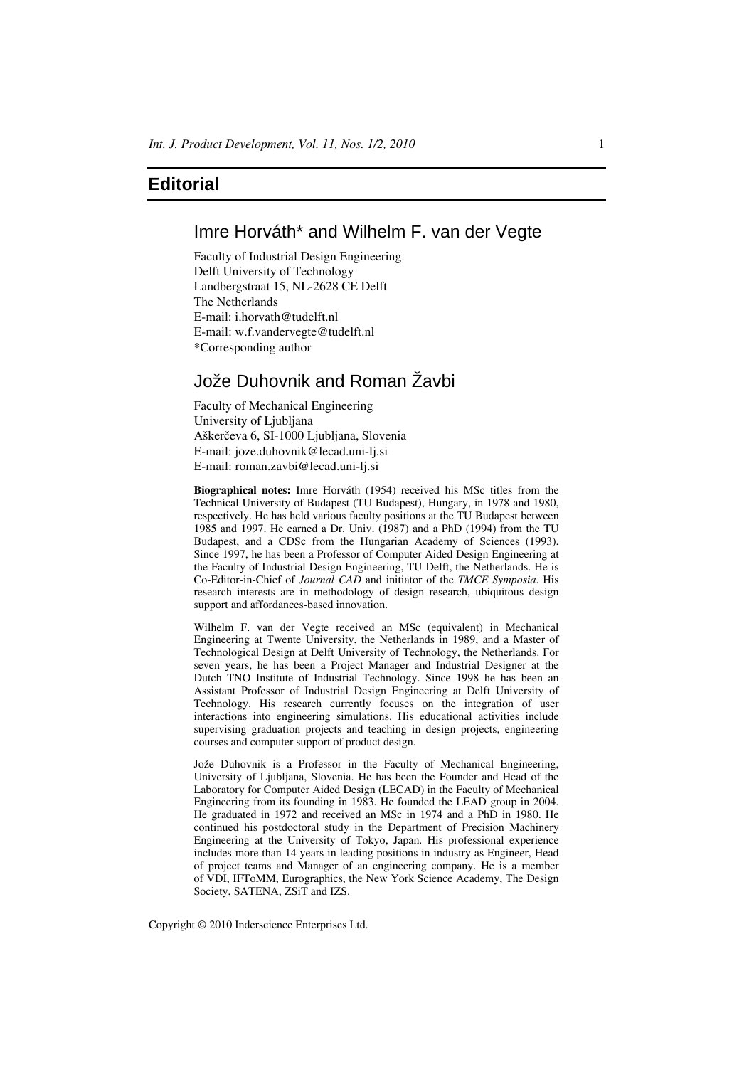# **Editorial**

# Imre Horváth\* and Wilhelm F. van der Vegte

Faculty of Industrial Design Engineering Delft University of Technology Landbergstraat 15, NL-2628 CE Delft The Netherlands E-mail: i.horvath@tudelft.nl E-mail: w.f.vandervegte@tudelft.nl \*Corresponding author

# Jože Duhovnik and Roman Žavbi

Faculty of Mechanical Engineering University of Ljubljana Aškerčeva 6, SI-1000 Ljubljana, Slovenia E-mail: joze.duhovnik@lecad.uni-lj.si E-mail: roman.zavbi@lecad.uni-lj.si

**Biographical notes:** Imre Horváth (1954) received his MSc titles from the Technical University of Budapest (TU Budapest), Hungary, in 1978 and 1980, respectively. He has held various faculty positions at the TU Budapest between 1985 and 1997. He earned a Dr. Univ. (1987) and a PhD (1994) from the TU Budapest, and a CDSc from the Hungarian Academy of Sciences (1993). Since 1997, he has been a Professor of Computer Aided Design Engineering at the Faculty of Industrial Design Engineering, TU Delft, the Netherlands. He is Co-Editor-in-Chief of *Journal CAD* and initiator of the *TMCE Symposia*. His research interests are in methodology of design research, ubiquitous design support and affordances-based innovation.

Wilhelm F. van der Vegte received an MSc (equivalent) in Mechanical Engineering at Twente University, the Netherlands in 1989, and a Master of Technological Design at Delft University of Technology, the Netherlands. For seven years, he has been a Project Manager and Industrial Designer at the Dutch TNO Institute of Industrial Technology. Since 1998 he has been an Assistant Professor of Industrial Design Engineering at Delft University of Technology. His research currently focuses on the integration of user interactions into engineering simulations. His educational activities include supervising graduation projects and teaching in design projects, engineering courses and computer support of product design.

Jože Duhovnik is a Professor in the Faculty of Mechanical Engineering, University of Ljubljana, Slovenia. He has been the Founder and Head of the Laboratory for Computer Aided Design (LECAD) in the Faculty of Mechanical Engineering from its founding in 1983. He founded the LEAD group in 2004. He graduated in 1972 and received an MSc in 1974 and a PhD in 1980. He continued his postdoctoral study in the Department of Precision Machinery Engineering at the University of Tokyo, Japan. His professional experience includes more than 14 years in leading positions in industry as Engineer, Head of project teams and Manager of an engineering company. He is a member of VDI, IFToMM, Eurographics, the New York Science Academy, The Design Society, SATENA, ZSiT and IZS.

Copyright © 2010 Inderscience Enterprises Ltd.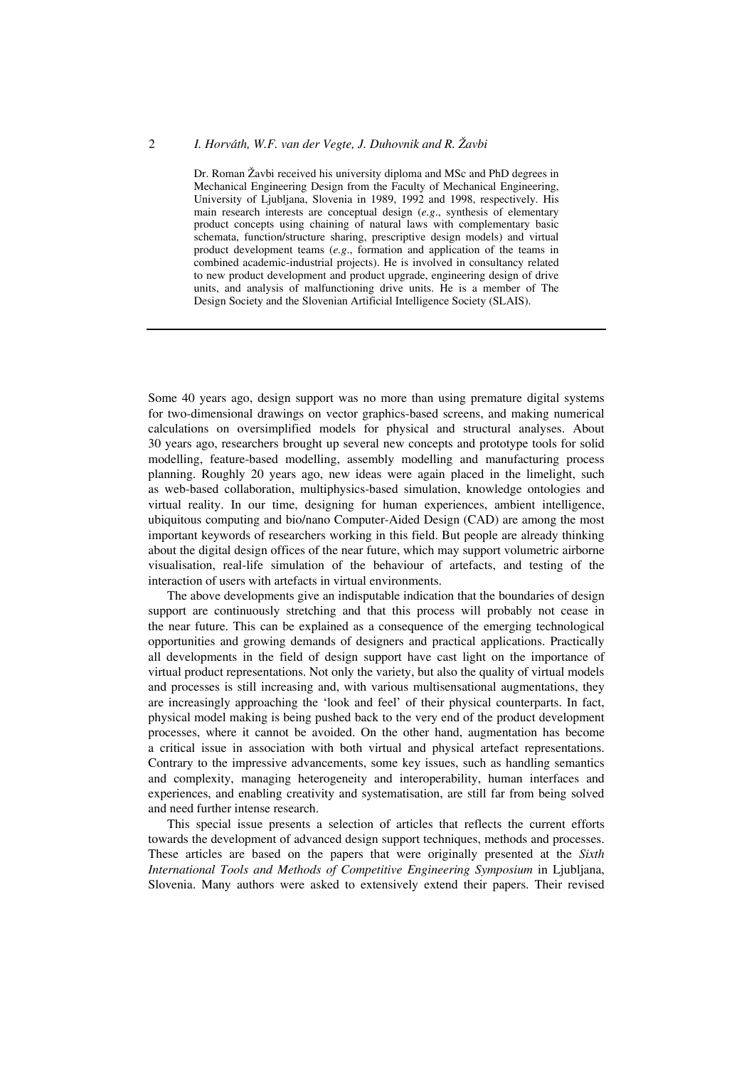## 2 *I. Horváth, W.F. van der Vegte, J. Duhovnik and R. Žavbi*

Dr. Roman Žavbi received his university diploma and MSc and PhD degrees in Mechanical Engineering Design from the Faculty of Mechanical Engineering, University of Ljubljana, Slovenia in 1989, 1992 and 1998, respectively. His main research interests are conceptual design (*e.g*., synthesis of elementary product concepts using chaining of natural laws with complementary basic schemata, function/structure sharing, prescriptive design models) and virtual product development teams (*e.g*., formation and application of the teams in combined academic-industrial projects). He is involved in consultancy related to new product development and product upgrade, engineering design of drive units, and analysis of malfunctioning drive units. He is a member of The Design Society and the Slovenian Artificial Intelligence Society (SLAIS).

Some 40 years ago, design support was no more than using premature digital systems for two-dimensional drawings on vector graphics-based screens, and making numerical calculations on oversimplified models for physical and structural analyses. About 30 years ago, researchers brought up several new concepts and prototype tools for solid modelling, feature-based modelling, assembly modelling and manufacturing process planning. Roughly 20 years ago, new ideas were again placed in the limelight, such as web-based collaboration, multiphysics-based simulation, knowledge ontologies and virtual reality. In our time, designing for human experiences, ambient intelligence, ubiquitous computing and bio/nano Computer-Aided Design (CAD) are among the most important keywords of researchers working in this field. But people are already thinking about the digital design offices of the near future, which may support volumetric airborne visualisation, real-life simulation of the behaviour of artefacts, and testing of the interaction of users with artefacts in virtual environments.

The above developments give an indisputable indication that the boundaries of design support are continuously stretching and that this process will probably not cease in the near future. This can be explained as a consequence of the emerging technological opportunities and growing demands of designers and practical applications. Practically all developments in the field of design support have cast light on the importance of virtual product representations. Not only the variety, but also the quality of virtual models and processes is still increasing and, with various multisensational augmentations, they are increasingly approaching the 'look and feel' of their physical counterparts. In fact, physical model making is being pushed back to the very end of the product development processes, where it cannot be avoided. On the other hand, augmentation has become a critical issue in association with both virtual and physical artefact representations. Contrary to the impressive advancements, some key issues, such as handling semantics and complexity, managing heterogeneity and interoperability, human interfaces and experiences, and enabling creativity and systematisation, are still far from being solved and need further intense research.

This special issue presents a selection of articles that reflects the current efforts towards the development of advanced design support techniques, methods and processes. These articles are based on the papers that were originally presented at the *Sixth International Tools and Methods of Competitive Engineering Symposium* in Ljubljana, Slovenia. Many authors were asked to extensively extend their papers. Their revised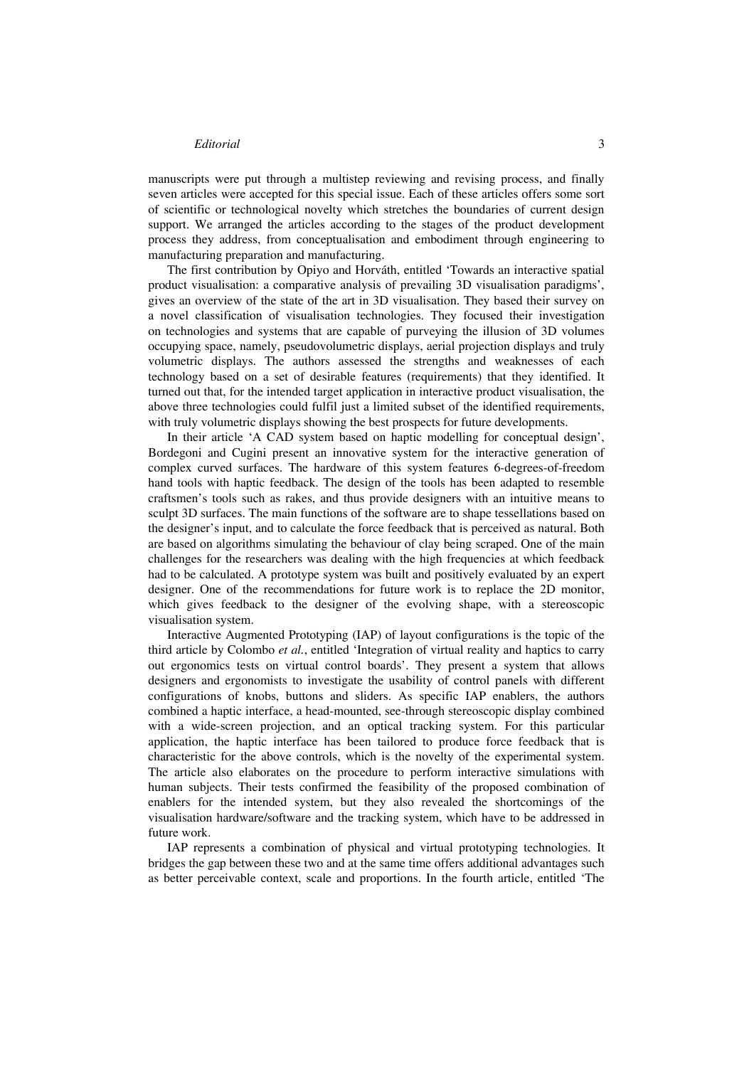## *Editorial* 3

manuscripts were put through a multistep reviewing and revising process, and finally seven articles were accepted for this special issue. Each of these articles offers some sort of scientific or technological novelty which stretches the boundaries of current design support. We arranged the articles according to the stages of the product development process they address, from conceptualisation and embodiment through engineering to manufacturing preparation and manufacturing.

The first contribution by Opiyo and Horváth, entitled 'Towards an interactive spatial product visualisation: a comparative analysis of prevailing 3D visualisation paradigms', gives an overview of the state of the art in 3D visualisation. They based their survey on a novel classification of visualisation technologies. They focused their investigation on technologies and systems that are capable of purveying the illusion of 3D volumes occupying space, namely, pseudovolumetric displays, aerial projection displays and truly volumetric displays. The authors assessed the strengths and weaknesses of each technology based on a set of desirable features (requirements) that they identified. It turned out that, for the intended target application in interactive product visualisation, the above three technologies could fulfil just a limited subset of the identified requirements, with truly volumetric displays showing the best prospects for future developments.

In their article 'A CAD system based on haptic modelling for conceptual design', Bordegoni and Cugini present an innovative system for the interactive generation of complex curved surfaces. The hardware of this system features 6-degrees-of-freedom hand tools with haptic feedback. The design of the tools has been adapted to resemble craftsmen's tools such as rakes, and thus provide designers with an intuitive means to sculpt 3D surfaces. The main functions of the software are to shape tessellations based on the designer's input, and to calculate the force feedback that is perceived as natural. Both are based on algorithms simulating the behaviour of clay being scraped. One of the main challenges for the researchers was dealing with the high frequencies at which feedback had to be calculated. A prototype system was built and positively evaluated by an expert designer. One of the recommendations for future work is to replace the 2D monitor, which gives feedback to the designer of the evolving shape, with a stereoscopic visualisation system.

Interactive Augmented Prototyping (IAP) of layout configurations is the topic of the third article by Colombo *et al.*, entitled 'Integration of virtual reality and haptics to carry out ergonomics tests on virtual control boards'. They present a system that allows designers and ergonomists to investigate the usability of control panels with different configurations of knobs, buttons and sliders. As specific IAP enablers, the authors combined a haptic interface, a head-mounted, see-through stereoscopic display combined with a wide-screen projection, and an optical tracking system. For this particular application, the haptic interface has been tailored to produce force feedback that is characteristic for the above controls, which is the novelty of the experimental system. The article also elaborates on the procedure to perform interactive simulations with human subjects. Their tests confirmed the feasibility of the proposed combination of enablers for the intended system, but they also revealed the shortcomings of the visualisation hardware/software and the tracking system, which have to be addressed in future work.

IAP represents a combination of physical and virtual prototyping technologies. It bridges the gap between these two and at the same time offers additional advantages such as better perceivable context, scale and proportions. In the fourth article, entitled 'The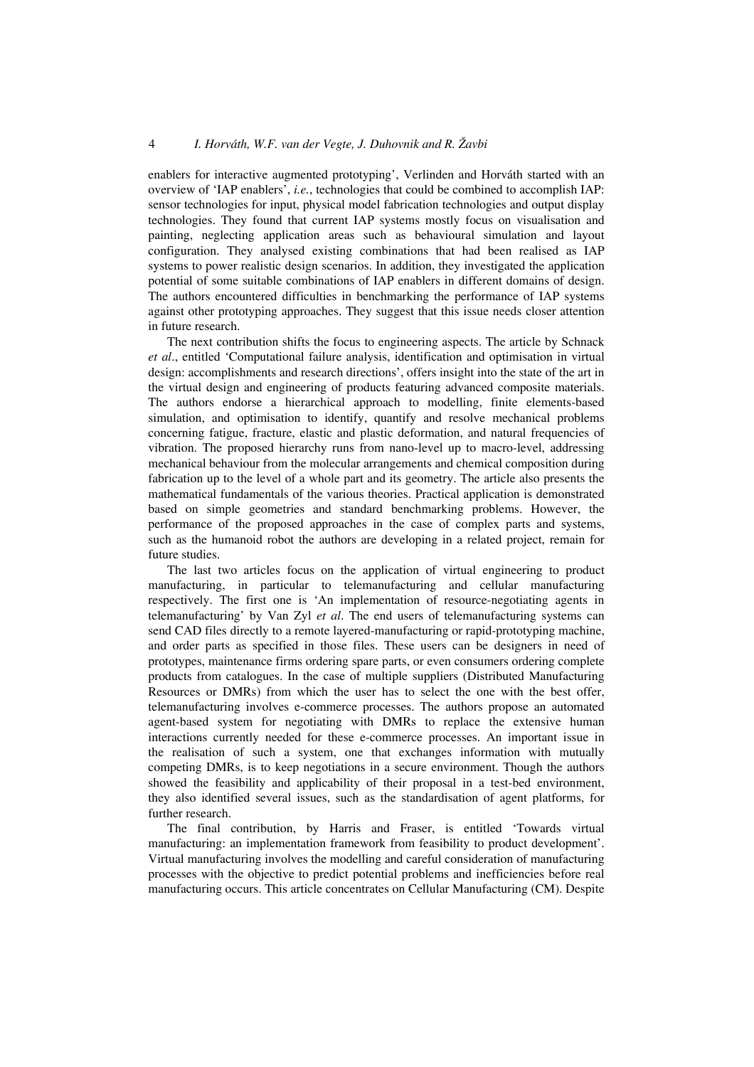## 4 *I. Horváth, W.F. van der Vegte, J. Duhovnik and R. Žavbi*

enablers for interactive augmented prototyping', Verlinden and Horváth started with an overview of 'IAP enablers', *i.e.*, technologies that could be combined to accomplish IAP: sensor technologies for input, physical model fabrication technologies and output display technologies. They found that current IAP systems mostly focus on visualisation and painting, neglecting application areas such as behavioural simulation and layout configuration. They analysed existing combinations that had been realised as IAP systems to power realistic design scenarios. In addition, they investigated the application potential of some suitable combinations of IAP enablers in different domains of design. The authors encountered difficulties in benchmarking the performance of IAP systems against other prototyping approaches. They suggest that this issue needs closer attention in future research.

The next contribution shifts the focus to engineering aspects. The article by Schnack *et al*., entitled 'Computational failure analysis, identification and optimisation in virtual design: accomplishments and research directions', offers insight into the state of the art in the virtual design and engineering of products featuring advanced composite materials. The authors endorse a hierarchical approach to modelling, finite elements-based simulation, and optimisation to identify, quantify and resolve mechanical problems concerning fatigue, fracture, elastic and plastic deformation, and natural frequencies of vibration. The proposed hierarchy runs from nano-level up to macro-level, addressing mechanical behaviour from the molecular arrangements and chemical composition during fabrication up to the level of a whole part and its geometry. The article also presents the mathematical fundamentals of the various theories. Practical application is demonstrated based on simple geometries and standard benchmarking problems. However, the performance of the proposed approaches in the case of complex parts and systems, such as the humanoid robot the authors are developing in a related project, remain for future studies.

The last two articles focus on the application of virtual engineering to product manufacturing, in particular to telemanufacturing and cellular manufacturing respectively. The first one is 'An implementation of resource-negotiating agents in telemanufacturing' by Van Zyl *et al*. The end users of telemanufacturing systems can send CAD files directly to a remote layered-manufacturing or rapid-prototyping machine, and order parts as specified in those files. These users can be designers in need of prototypes, maintenance firms ordering spare parts, or even consumers ordering complete products from catalogues. In the case of multiple suppliers (Distributed Manufacturing Resources or DMRs) from which the user has to select the one with the best offer, telemanufacturing involves e-commerce processes. The authors propose an automated agent-based system for negotiating with DMRs to replace the extensive human interactions currently needed for these e-commerce processes. An important issue in the realisation of such a system, one that exchanges information with mutually competing DMRs, is to keep negotiations in a secure environment. Though the authors showed the feasibility and applicability of their proposal in a test-bed environment, they also identified several issues, such as the standardisation of agent platforms, for further research.

The final contribution, by Harris and Fraser, is entitled 'Towards virtual manufacturing: an implementation framework from feasibility to product development'. Virtual manufacturing involves the modelling and careful consideration of manufacturing processes with the objective to predict potential problems and inefficiencies before real manufacturing occurs. This article concentrates on Cellular Manufacturing (CM). Despite